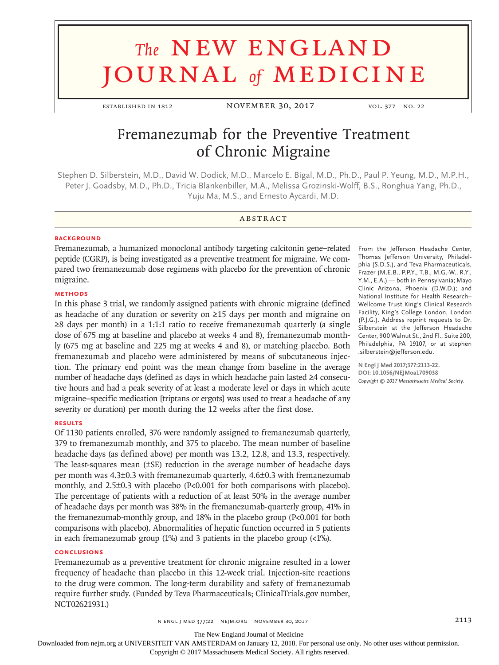# **The NEW ENGLAND** journal *of* medicine

established in 1812 November 30, 2017 vol. 377 no. 22

# Fremanezumab for the Preventive Treatment of Chronic Migraine

Stephen D. Silberstein, M.D., David W. Dodick, M.D., Marcelo E. Bigal, M.D., Ph.D., Paul P. Yeung, M.D., M.P.H., Peter J. Goadsby, M.D., Ph.D., Tricia Blankenbiller, M.A., Melissa Grozinski-Wolff, B.S., Ronghua Yang, Ph.D., Yuju Ma, M.S., and Ernesto Aycardi, M.D.

## **ABSTRACT**

#### **BACKGROUND**

Fremanezumab, a humanized monoclonal antibody targeting calcitonin gene–related peptide (CGRP), is being investigated as a preventive treatment for migraine. We compared two fremanezumab dose regimens with placebo for the prevention of chronic migraine.

#### **METHODS**

In this phase 3 trial, we randomly assigned patients with chronic migraine (defined as headache of any duration or severity on ≥15 days per month and migraine on ≥8 days per month) in a 1:1:1 ratio to receive fremanezumab quarterly (a single dose of 675 mg at baseline and placebo at weeks 4 and 8), fremanezumab monthly (675 mg at baseline and 225 mg at weeks 4 and 8), or matching placebo. Both fremanezumab and placebo were administered by means of subcutaneous injection. The primary end point was the mean change from baseline in the average number of headache days (defined as days in which headache pain lasted ≥4 consecutive hours and had a peak severity of at least a moderate level or days in which acute migraine–specific medication [triptans or ergots] was used to treat a headache of any severity or duration) per month during the 12 weeks after the first dose.

#### **RESULTS**

Of 1130 patients enrolled, 376 were randomly assigned to fremanezumab quarterly, 379 to fremanezumab monthly, and 375 to placebo. The mean number of baseline headache days (as defined above) per month was 13.2, 12.8, and 13.3, respectively. The least-squares mean  $(\pm SE)$  reduction in the average number of headache days per month was 4.3±0.3 with fremanezumab quarterly, 4.6±0.3 with fremanezumab monthly, and 2.5±0.3 with placebo (P<0.001 for both comparisons with placebo). The percentage of patients with a reduction of at least 50% in the average number of headache days per month was 38% in the fremanezumab-quarterly group, 41% in the fremanezumab-monthly group, and 18% in the placebo group (P<0.001 for both comparisons with placebo). Abnormalities of hepatic function occurred in 5 patients in each fremanezumab group (1%) and 3 patients in the placebo group  $\langle$ 1%).

#### **CONCLUSIONS**

Fremanezumab as a preventive treatment for chronic migraine resulted in a lower frequency of headache than placebo in this 12-week trial. Injection-site reactions to the drug were common. The long-term durability and safety of fremanezumab require further study. (Funded by Teva Pharmaceuticals; ClinicalTrials.gov number, NCT02621931.)

From the Jefferson Headache Center, Thomas Jefferson University, Philadelphia (S.D.S.), and Teva Pharmaceuticals, Frazer (M.E.B., P.P.Y., T.B., M.G.-W., R.Y., Y.M., E.A.) — both in Pennsylvania; Mayo Clinic Arizona, Phoenix (D.W.D.); and National Institute for Health Research– Wellcome Trust King's Clinical Research Facility, King's College London, London (P.J.G.). Address reprint requests to Dr. Silberstein at the Jefferson Headache Center, 900 Walnut St., 2nd Fl., Suite 200, Philadelphia, PA 19107, or at stephen .silberstein@jefferson.edu.

**N Engl J Med 2017;377:2113-22. DOI: 10.1056/NEJMoa1709038** *Copyright © 2017 Massachusetts Medical Society.*

The New England Journal of Medicine

Downloaded from nejm.org at UNIVERSITEIT VAN AMSTERDAM on January 12, 2018. For personal use only. No other uses without permission.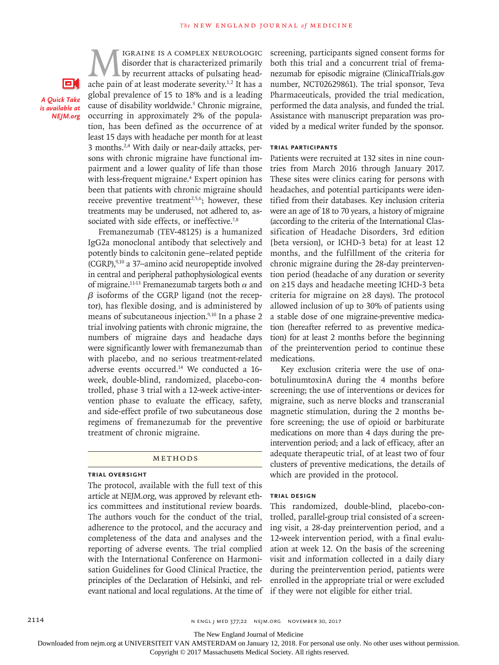61 *A Quick Take is available at NEJM.org*

MIGRAINE IS A COMPLEX NEUROLOGIC<br>disorder that is characterized primarily<br>ache pain of at least moderate severity.<sup>1,2</sup> It has a disorder that is characterized primarily **L** by recurrent attacks of pulsating headglobal prevalence of 15 to 18% and is a leading cause of disability worldwide.<sup>3</sup> Chronic migraine, occurring in approximately 2% of the population, has been defined as the occurrence of at least 15 days with headache per month for at least 3 months.2,4 With daily or near-daily attacks, persons with chronic migraine have functional impairment and a lower quality of life than those with less-frequent migraine.<sup>4</sup> Expert opinion has been that patients with chronic migraine should receive preventive treatment $2,5,6$ ; however, these treatments may be underused, not adhered to, associated with side effects, or ineffective.<sup>7,8</sup>

Fremanezumab (TEV-48125) is a humanized IgG2a monoclonal antibody that selectively and potently binds to calcitonin gene–related peptide (CGRP),9,10 a 37–amino acid neuropeptide involved in central and peripheral pathophysiological events of migraine.<sup>11-13</sup> Fremanezumab targets both  $\alpha$  and  $\beta$  isoforms of the CGRP ligand (not the receptor), has flexible dosing, and is administered by means of subcutaneous injection.<sup>9,10</sup> In a phase 2 trial involving patients with chronic migraine, the numbers of migraine days and headache days were significantly lower with fremanezumab than with placebo, and no serious treatment-related adverse events occurred.<sup>14</sup> We conducted a 16week, double-blind, randomized, placebo-controlled, phase 3 trial with a 12-week active-intervention phase to evaluate the efficacy, safety, and side-effect profile of two subcutaneous dose regimens of fremanezumab for the preventive treatment of chronic migraine.

## Methods

## **Trial Oversight**

The protocol, available with the full text of this article at NEJM.org, was approved by relevant ethics committees and institutional review boards. The authors vouch for the conduct of the trial, adherence to the protocol, and the accuracy and completeness of the data and analyses and the reporting of adverse events. The trial complied with the International Conference on Harmonisation Guidelines for Good Clinical Practice, the principles of the Declaration of Helsinki, and relevant national and local regulations. At the time of

screening, participants signed consent forms for both this trial and a concurrent trial of fremanezumab for episodic migraine (ClinicalTrials.gov number, NCT02629861). The trial sponsor, Teva Pharmaceuticals, provided the trial medication, performed the data analysis, and funded the trial. Assistance with manuscript preparation was provided by a medical writer funded by the sponsor.

## **Trial Participants**

Patients were recruited at 132 sites in nine countries from March 2016 through January 2017. These sites were clinics caring for persons with headaches, and potential participants were identified from their databases. Key inclusion criteria were an age of 18 to 70 years, a history of migraine (according to the criteria of the International Classification of Headache Disorders, 3rd edition [beta version], or ICHD-3 beta) for at least 12 months, and the fulfillment of the criteria for chronic migraine during the 28-day preintervention period (headache of any duration or severity on ≥15 days and headache meeting ICHD-3 beta criteria for migraine on ≥8 days). The protocol allowed inclusion of up to 30% of patients using a stable dose of one migraine-preventive medication (hereafter referred to as preventive medication) for at least 2 months before the beginning of the preintervention period to continue these medications.

Key exclusion criteria were the use of onabotulinumtoxinA during the 4 months before screening; the use of interventions or devices for migraine, such as nerve blocks and transcranial magnetic stimulation, during the 2 months before screening; the use of opioid or barbiturate medications on more than 4 days during the preintervention period; and a lack of efficacy, after an adequate therapeutic trial, of at least two of four clusters of preventive medications, the details of which are provided in the protocol.

#### **Trial Design**

This randomized, double-blind, placebo-controlled, parallel-group trial consisted of a screening visit, a 28-day preintervention period, and a 12-week intervention period, with a final evaluation at week 12. On the basis of the screening visit and information collected in a daily diary during the preintervention period, patients were enrolled in the appropriate trial or were excluded if they were not eligible for either trial.

The New England Journal of Medicine

Downloaded from nejm.org at UNIVERSITEIT VAN AMSTERDAM on January 12, 2018. For personal use only. No other uses without permission.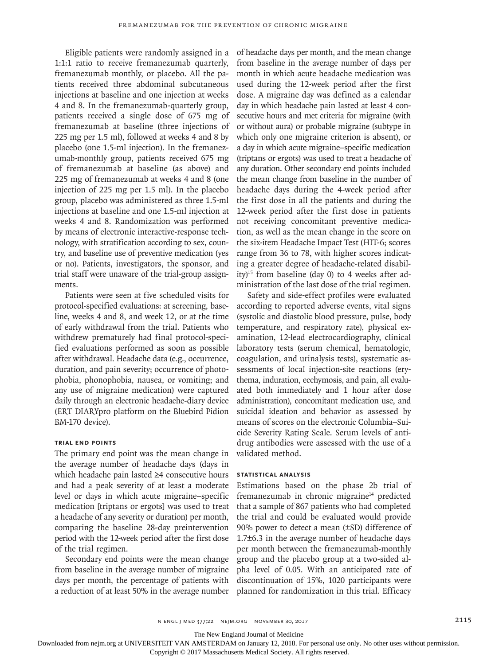Eligible patients were randomly assigned in a 1:1:1 ratio to receive fremanezumab quarterly, fremanezumab monthly, or placebo. All the patients received three abdominal subcutaneous injections at baseline and one injection at weeks 4 and 8. In the fremanezumab-quarterly group, patients received a single dose of 675 mg of fremanezumab at baseline (three injections of 225 mg per 1.5 ml), followed at weeks 4 and 8 by placebo (one 1.5-ml injection). In the fremanezumab-monthly group, patients received 675 mg of fremanezumab at baseline (as above) and 225 mg of fremanezumab at weeks 4 and 8 (one injection of 225 mg per 1.5 ml). In the placebo group, placebo was administered as three 1.5-ml injections at baseline and one 1.5-ml injection at weeks 4 and 8. Randomization was performed by means of electronic interactive-response technology, with stratification according to sex, country, and baseline use of preventive medication (yes or no). Patients, investigators, the sponsor, and trial staff were unaware of the trial-group assignments.

Patients were seen at five scheduled visits for protocol-specified evaluations: at screening, baseline, weeks 4 and 8, and week 12, or at the time of early withdrawal from the trial. Patients who withdrew prematurely had final protocol-specified evaluations performed as soon as possible after withdrawal. Headache data (e.g., occurrence, duration, and pain severity; occurrence of photophobia, phonophobia, nausea, or vomiting; and any use of migraine medication) were captured daily through an electronic headache-diary device (ERT DIARYpro platform on the Bluebird Pidion BM-170 device).

#### **Trial End Points**

The primary end point was the mean change in the average number of headache days (days in which headache pain lasted ≥4 consecutive hours and had a peak severity of at least a moderate level or days in which acute migraine–specific medication [triptans or ergots] was used to treat a headache of any severity or duration) per month, comparing the baseline 28-day preintervention period with the 12-week period after the first dose of the trial regimen.

Secondary end points were the mean change from baseline in the average number of migraine days per month, the percentage of patients with a reduction of at least 50% in the average number of headache days per month, and the mean change from baseline in the average number of days per month in which acute headache medication was used during the 12-week period after the first dose. A migraine day was defined as a calendar day in which headache pain lasted at least 4 consecutive hours and met criteria for migraine (with or without aura) or probable migraine (subtype in which only one migraine criterion is absent), or a day in which acute migraine–specific medication (triptans or ergots) was used to treat a headache of any duration. Other secondary end points included the mean change from baseline in the number of headache days during the 4-week period after the first dose in all the patients and during the 12-week period after the first dose in patients not receiving concomitant preventive medication, as well as the mean change in the score on the six-item Headache Impact Test (HIT-6; scores range from 36 to 78, with higher scores indicating a greater degree of headache-related disability)<sup>15</sup> from baseline (day 0) to 4 weeks after administration of the last dose of the trial regimen.

Safety and side-effect profiles were evaluated according to reported adverse events, vital signs (systolic and diastolic blood pressure, pulse, body temperature, and respiratory rate), physical examination, 12-lead electrocardiography, clinical laboratory tests (serum chemical, hematologic, coagulation, and urinalysis tests), systematic assessments of local injection-site reactions (erythema, induration, ecchymosis, and pain, all evaluated both immediately and 1 hour after dose administration), concomitant medication use, and suicidal ideation and behavior as assessed by means of scores on the electronic Columbia–Suicide Severity Rating Scale. Serum levels of antidrug antibodies were assessed with the use of a validated method.

#### **Statistical Analysis**

Estimations based on the phase 2b trial of fremanezumab in chronic migraine<sup>14</sup> predicted that a sample of 867 patients who had completed the trial and could be evaluated would provide 90% power to detect a mean (±SD) difference of 1.7±6.3 in the average number of headache days per month between the fremanezumab-monthly group and the placebo group at a two-sided alpha level of 0.05. With an anticipated rate of discontinuation of 15%, 1020 participants were planned for randomization in this trial. Efficacy

n engl j med 377;22 nejm.org November 30, 2017 2115

The New England Journal of Medicine

Downloaded from nejm.org at UNIVERSITEIT VAN AMSTERDAM on January 12, 2018. For personal use only. No other uses without permission.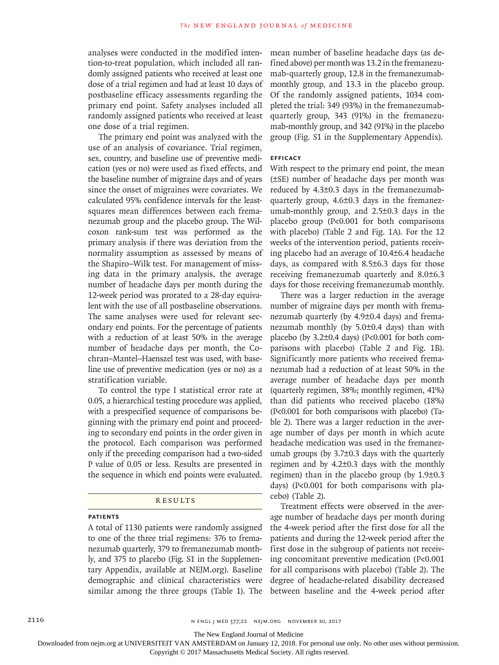analyses were conducted in the modified intention-to-treat population, which included all randomly assigned patients who received at least one dose of a trial regimen and had at least 10 days of postbaseline efficacy assessments regarding the primary end point. Safety analyses included all randomly assigned patients who received at least one dose of a trial regimen.

The primary end point was analyzed with the use of an analysis of covariance. Trial regimen, sex, country, and baseline use of preventive medication (yes or no) were used as fixed effects, and the baseline number of migraine days and of years since the onset of migraines were covariates. We calculated 95% confidence intervals for the leastsquares mean differences between each fremanezumab group and the placebo group. The Wilcoxon rank-sum test was performed as the primary analysis if there was deviation from the normality assumption as assessed by means of the Shapiro–Wilk test. For management of missing data in the primary analysis, the average number of headache days per month during the 12-week period was prorated to a 28-day equivalent with the use of all postbaseline observations. The same analyses were used for relevant secondary end points. For the percentage of patients with a reduction of at least 50% in the average number of headache days per month, the Cochran–Mantel–Haenszel test was used, with baseline use of preventive medication (yes or no) as a stratification variable.

To control the type I statistical error rate at 0.05, a hierarchical testing procedure was applied, with a prespecified sequence of comparisons beginning with the primary end point and proceeding to secondary end points in the order given in the protocol. Each comparison was performed only if the preceding comparison had a two-sided P value of 0.05 or less. Results are presented in the sequence in which end points were evaluated.

#### Results

#### **Patients**

A total of 1130 patients were randomly assigned to one of the three trial regimens: 376 to fremanezumab quarterly, 379 to fremanezumab monthly, and 375 to placebo (Fig. S1 in the Supplementary Appendix, available at NEJM.org). Baseline demographic and clinical characteristics were similar among the three groups (Table 1). The mean number of baseline headache days (as defined above) per month was 13.2 in the fremanezumab-quarterly group, 12.8 in the fremanezumabmonthly group, and 13.3 in the placebo group. Of the randomly assigned patients, 1034 completed the trial: 349 (93%) in the fremanezumabquarterly group, 343 (91%) in the fremanezumab-monthly group, and 342 (91%) in the placebo group (Fig. S1 in the Supplementary Appendix).

# **Efficacy**

With respect to the primary end point, the mean (±SE) number of headache days per month was reduced by 4.3±0.3 days in the fremanezumabquarterly group, 4.6±0.3 days in the fremanezumab-monthly group, and 2.5±0.3 days in the placebo group (P<0.001 for both comparisons with placebo) (Table 2 and Fig. 1A). For the 12 weeks of the intervention period, patients receiving placebo had an average of 10.4±6.4 headache days, as compared with 8.5±6.3 days for those receiving fremanezumab quarterly and 8.0±6.3 days for those receiving fremanezumab monthly.

There was a larger reduction in the average number of migraine days per month with fremanezumab quarterly (by 4.9±0.4 days) and fremanezumab monthly (by 5.0±0.4 days) than with placebo (by  $3.2\pm0.4$  days) (P<0.001 for both comparisons with placebo) (Table 2 and Fig. 1B). Significantly more patients who received fremanezumab had a reduction of at least 50% in the average number of headache days per month (quarterly regimen, 38%; monthly regimen, 41%) than did patients who received placebo (18%) (P<0.001 for both comparisons with placebo) (Table 2). There was a larger reduction in the average number of days per month in which acute headache medication was used in the fremanezumab groups (by 3.7±0.3 days with the quarterly regimen and by 4.2±0.3 days with the monthly regimen) than in the placebo group (by 1.9±0.3 days) (P<0.001 for both comparisons with placebo) (Table 2).

Treatment effects were observed in the average number of headache days per month during the 4-week period after the first dose for all the patients and during the 12-week period after the first dose in the subgroup of patients not receiving concomitant preventive medication (P<0.001 for all comparisons with placebo) (Table 2). The degree of headache-related disability decreased between baseline and the 4-week period after

The New England Journal of Medicine

Downloaded from nejm.org at UNIVERSITEIT VAN AMSTERDAM on January 12, 2018. For personal use only. No other uses without permission.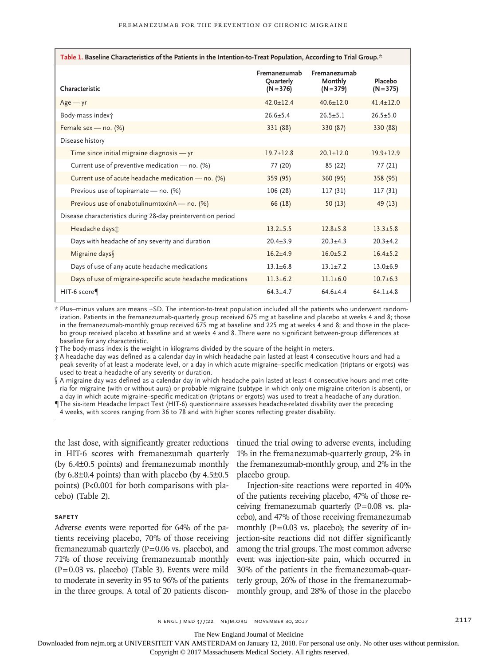| Table 1. Baseline Characteristics of the Patients in the Intention-to-Treat Population, According to Trial Group.* |                                          |                                               |                        |  |  |
|--------------------------------------------------------------------------------------------------------------------|------------------------------------------|-----------------------------------------------|------------------------|--|--|
| Characteristic                                                                                                     | Fremanezumab<br>Quarterly<br>$(N = 376)$ | Fremanezumab<br><b>Monthly</b><br>$(N = 379)$ | Placebo<br>$(N = 375)$ |  |  |
| $Age - yr$                                                                                                         | $42.0 + 12.4$                            | $40.6 + 12.0$                                 | $41.4 \pm 12.0$        |  |  |
| Body-mass index†                                                                                                   | $26.6 + 5.4$                             | $26.5 + 5.1$                                  | $26.5 + 5.0$           |  |  |
| Female sex - no. (%)                                                                                               | 331 (88)                                 | 330 (87)                                      | 330 (88)               |  |  |
| Disease history                                                                                                    |                                          |                                               |                        |  |  |
| Time since initial migraine diagnosis - yr                                                                         | $19.7 \pm 12.8$                          | $20.1 + 12.0$                                 | $19.9 + 12.9$          |  |  |
| Current use of preventive medication - no. (%)                                                                     | 77 (20)                                  | 85 (22)                                       | 77 (21)                |  |  |
| Current use of acute headache medication - no. (%)                                                                 | 359 (95)                                 | 360 (95)                                      | 358 (95)               |  |  |
| Previous use of topiramate - no. (%)                                                                               | 106 (28)                                 | 117(31)                                       | 117(31)                |  |  |
| Previous use of onabotulinumtoxinA — no. (%)                                                                       | 66 (18)                                  | 50(13)                                        | 49 (13)                |  |  |
| Disease characteristics during 28-day preintervention period                                                       |                                          |                                               |                        |  |  |
| Headache days:                                                                                                     | $13.2 + 5.5$                             | $12.8 + 5.8$                                  | $13.3 + 5.8$           |  |  |
| Days with headache of any severity and duration                                                                    | $20.4 \pm 3.9$                           | $20.3 + 4.3$                                  | $20.3 + 4.2$           |  |  |
| Migraine days                                                                                                      | $16.2 + 4.9$                             | $16.0 + 5.2$                                  | $16.4 + 5.2$           |  |  |
| Days of use of any acute headache medications                                                                      | $13.1 + 6.8$                             | $13.1 + 7.2$                                  | $13.0 + 6.9$           |  |  |
| Days of use of migraine-specific acute headache medications                                                        | $11.3 + 6.2$                             | $11.1 + 6.0$                                  | $10.7 + 6.3$           |  |  |
| HIT-6 score                                                                                                        | $64.3 + 4.7$                             | $646+44$                                      | $64.1 + 4.8$           |  |  |

\* Plus–minus values are means ±SD. The intention-to-treat population included all the patients who underwent randomization. Patients in the fremanezumab-quarterly group received 675 mg at baseline and placebo at weeks 4 and 8; those in the fremanezumab-monthly group received 675 mg at baseline and 225 mg at weeks 4 and 8; and those in the placebo group received placebo at baseline and at weeks 4 and 8. There were no significant between-group differences at baseline for any characteristic.

† The body-mass index is the weight in kilograms divided by the square of the height in meters.

‡ A headache day was defined as a calendar day in which headache pain lasted at least 4 consecutive hours and had a peak severity of at least a moderate level, or a day in which acute migraine–specific medication (triptans or ergots) was used to treat a headache of any severity or duration.

§ A migraine day was defined as a calendar day in which headache pain lasted at least 4 consecutive hours and met criteria for migraine (with or without aura) or probable migraine (subtype in which only one migraine criterion is absent), or a day in which acute migraine–specific medication (triptans or ergots) was used to treat a headache of any duration.

¶ The six-item Headache Impact Test (HIT-6) questionnaire assesses headache-related disability over the preceding 4 weeks, with scores ranging from 36 to 78 and with higher scores reflecting greater disability.

the last dose, with significantly greater reductions in HIT-6 scores with fremanezumab quarterly (by 6.4±0.5 points) and fremanezumab monthly (by  $6.8\pm0.4$  points) than with placebo (by  $4.5\pm0.5$ points) (P<0.001 for both comparisons with placebo) (Table 2).

#### **Safety**

Adverse events were reported for 64% of the patients receiving placebo, 70% of those receiving fremanezumab quarterly  $(P=0.06 \text{ vs. } placebo)$ , and 71% of those receiving fremanezumab monthly  $(P=0.03 \text{ vs. } placebo)$  (Table 3). Events were mild to moderate in severity in 95 to 96% of the patients in the three groups. A total of 20 patients discontinued the trial owing to adverse events, including 1% in the fremanezumab-quarterly group, 2% in the fremanezumab-monthly group, and 2% in the placebo group.

Injection-site reactions were reported in 40% of the patients receiving placebo, 47% of those receiving fremanezumab quarterly (P=0.08 vs. placebo), and 47% of those receiving fremanezumab monthly  $(P=0.03$  vs. placebo); the severity of injection-site reactions did not differ significantly among the trial groups. The most common adverse event was injection-site pain, which occurred in 30% of the patients in the fremanezumab-quarterly group, 26% of those in the fremanezumabmonthly group, and 28% of those in the placebo

The New England Journal of Medicine

Downloaded from nejm.org at UNIVERSITEIT VAN AMSTERDAM on January 12, 2018. For personal use only. No other uses without permission.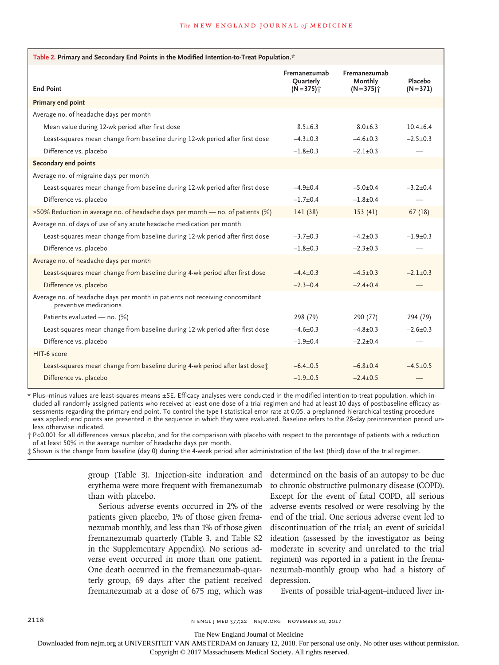#### **The NEW ENGLAND JOURNAL of MEDICINE**

| Table 2. Primary and Secondary End Points in the Modified Intention-to-Treat Population.*              |                                                       |                                                     |                        |  |  |
|--------------------------------------------------------------------------------------------------------|-------------------------------------------------------|-----------------------------------------------------|------------------------|--|--|
| <b>End Point</b>                                                                                       | Fremanezumab<br>Quarterly<br>$(N = 375)$ <sup>*</sup> | Fremanezumab<br>Monthly<br>$(N = 375)$ <sup>*</sup> | Placebo<br>$(N = 371)$ |  |  |
| Primary end point                                                                                      |                                                       |                                                     |                        |  |  |
| Average no. of headache days per month                                                                 |                                                       |                                                     |                        |  |  |
| Mean value during 12-wk period after first dose                                                        | $8.5 + 6.3$                                           | $8.0 + 6.3$                                         | $10.4 + 6.4$           |  |  |
| Least-squares mean change from baseline during 12-wk period after first dose                           | $-4.3+0.3$                                            | $-4.6+0.3$                                          | $-2.5+0.3$             |  |  |
| Difference vs. placebo                                                                                 | $-1.8+0.3$                                            | $-2.1+0.3$                                          |                        |  |  |
| Secondary end points                                                                                   |                                                       |                                                     |                        |  |  |
| Average no. of migraine days per month                                                                 |                                                       |                                                     |                        |  |  |
| Least-squares mean change from baseline during 12-wk period after first dose                           | $-4.9+0.4$                                            | $-5.0+0.4$                                          | $-3.2+0.4$             |  |  |
| Difference vs. placebo                                                                                 | $-1.7 + 0.4$                                          | $-1.8 + 0.4$                                        |                        |  |  |
| $\geq$ 50% Reduction in average no. of headache days per month - no. of patients (%)                   | 141 (38)                                              | 153(41)                                             | 67(18)                 |  |  |
| Average no. of days of use of any acute headache medication per month                                  |                                                       |                                                     |                        |  |  |
| Least-squares mean change from baseline during 12-wk period after first dose                           | $-3.7+0.3$                                            | $-4.2+0.3$                                          | $-1.9+0.3$             |  |  |
| Difference vs. placebo                                                                                 | $-1.8+0.3$                                            | $-2.3+0.3$                                          |                        |  |  |
| Average no. of headache days per month                                                                 |                                                       |                                                     |                        |  |  |
| Least-squares mean change from baseline during 4-wk period after first dose                            | $-4.4+0.3$                                            | $-4.5+0.3$                                          | $-2.1+0.3$             |  |  |
| Difference vs. placebo                                                                                 | $-2.3 \pm 0.4$                                        | $-2.4+0.4$                                          |                        |  |  |
| Average no. of headache days per month in patients not receiving concomitant<br>preventive medications |                                                       |                                                     |                        |  |  |
| Patients evaluated - no. (%)                                                                           | 298 (79)                                              | 290 (77)                                            | 294 (79)               |  |  |
| Least-squares mean change from baseline during 12-wk period after first dose                           | $-4.6+0.3$                                            | $-4.8+0.3$                                          | $-2.6+0.3$             |  |  |
| Difference vs. placebo                                                                                 | $-1.9+0.4$                                            | $-2.2+0.4$                                          |                        |  |  |
| HIT-6 score                                                                                            |                                                       |                                                     |                        |  |  |
| Least-squares mean change from baseline during 4-wk period after last dose;                            | $-6.4+0.5$                                            | $-6.8+0.4$                                          | $-4.5+0.5$             |  |  |
| Difference vs. placebo                                                                                 | $-1.9+0.5$                                            | $-2.4+0.5$                                          |                        |  |  |

\* Plus–minus values are least-squares means ±SE. Efficacy analyses were conducted in the modified intention-to-treat population, which included all randomly assigned patients who received at least one dose of a trial regimen and had at least 10 days of postbaseline efficacy assessments regarding the primary end point. To control the type I statistical error rate at 0.05, a preplanned hierarchical testing procedure was applied; end points are presented in the sequence in which they were evaluated. Baseline refers to the 28-day preintervention period unless otherwise indicated.

† P<0.001 for all differences versus placebo, and for the comparison with placebo with respect to the percentage of patients with a reduction of at least 50% in the average number of headache days per month.

‡ Shown is the change from baseline (day 0) during the 4-week period after administration of the last (third) dose of the trial regimen.

group (Table 3). Injection-site induration and erythema were more frequent with fremanezumab than with placebo.

Serious adverse events occurred in 2% of the patients given placebo, 1% of those given fremanezumab monthly, and less than 1% of those given fremanezumab quarterly (Table 3, and Table S2 in the Supplementary Appendix). No serious adverse event occurred in more than one patient. One death occurred in the fremanezumab-quarterly group, 69 days after the patient received fremanezumab at a dose of 675 mg, which was

determined on the basis of an autopsy to be due to chronic obstructive pulmonary disease (COPD). Except for the event of fatal COPD, all serious adverse events resolved or were resolving by the end of the trial. One serious adverse event led to discontinuation of the trial; an event of suicidal ideation (assessed by the investigator as being moderate in severity and unrelated to the trial regimen) was reported in a patient in the fremanezumab-monthly group who had a history of depression.

Events of possible trial-agent–induced liver in-

The New England Journal of Medicine

Downloaded from nejm.org at UNIVERSITEIT VAN AMSTERDAM on January 12, 2018. For personal use only. No other uses without permission.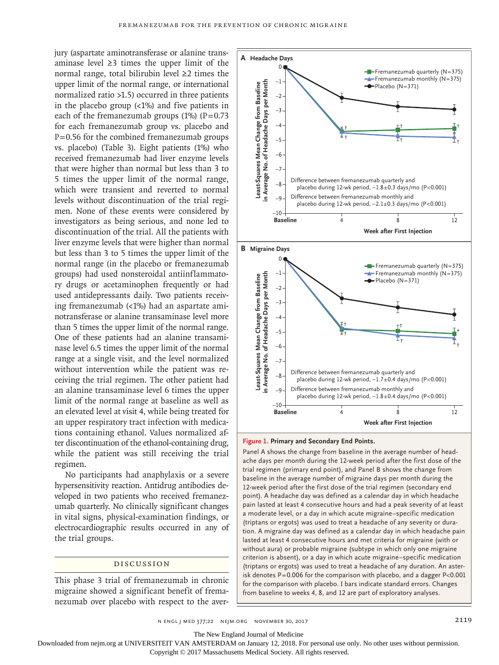jury (aspartate aminotransferase or alanine transaminase level ≥3 times the upper limit of the normal range, total bilirubin level ≥2 times the upper limit of the normal range, or international normalized ratio >1.5) occurred in three patients in the placebo group  $\left\langle \langle 1\% \rangle \right\rangle$  and five patients in each of the fremanezumab groups  $(1\%)$   $(P=0.73$ for each fremanezumab group vs. placebo and P=0.56 for the combined fremanezumab groups vs. placebo) (Table 3). Eight patients (1%) who received fremanezumab had liver enzyme levels that were higher than normal but less than 3 to 5 times the upper limit of the normal range, which were transient and reverted to normal levels without discontinuation of the trial regimen. None of these events were considered by investigators as being serious, and none led to discontinuation of the trial. All the patients with liver enzyme levels that were higher than normal but less than 3 to 5 times the upper limit of the normal range (in the placebo or fremanezumab groups) had used nonsteroidal antiinflammatory drugs or acetaminophen frequently or had used antidepressants daily. Two patients receiving fremanezumab (<1%) had an aspartate aminotransferase or alanine transaminase level more than 5 times the upper limit of the normal range. One of these patients had an alanine transaminase level 6.5 times the upper limit of the normal range at a single visit, and the level normalized without intervention while the patient was receiving the trial regimen. The other patient had an alanine transaminase level 6 times the upper limit of the normal range at baseline as well as an elevated level at visit 4, while being treated for an upper respiratory tract infection with medications containing ethanol. Values normalized after discontinuation of the ethanol-containing drug, while the patient was still receiving the trial regimen.

No participants had anaphylaxis or a severe hypersensitivity reaction. Antidrug antibodies developed in two patients who received fremanezumab quarterly. No clinically significant changes in vital signs, physical-examination findings, or electrocardiographic results occurred in any of the trial groups.

### Discussion

This phase 3 trial of fremanezumab in chronic migraine showed a significant benefit of fremanezumab over placebo with respect to the aver-



#### **Figure 1. Primary and Secondary End Points.**

Panel A shows the change from baseline in the average number of headache days per month during the 12-week period after the first dose of the trial regimen (primary end point), and Panel B shows the change from baseline in the average number of migraine days per month during the 12-week period after the first dose of the trial regimen (secondary end point). A headache day was defined as a calendar day in which headache pain lasted at least 4 consecutive hours and had a peak severity of at least a moderate level, or a day in which acute migraine–specific medication (triptans or ergots) was used to treat a headache of any severity or duration. A migraine day was defined as a calendar day in which headache pain lasted at least 4 consecutive hours and met criteria for migraine (with or without aura) or probable migraine (subtype in which only one migraine criterion is absent), or a day in which acute migraine–specific medication (triptans or ergots) was used to treat a headache of any duration. An asterisk denotes P=0.006 for the comparison with placebo, and a dagger P<0.001 for the comparison with placebo. I bars indicate standard errors. Changes

n engl j med 377;22 nejm.org November 30, 2017 2119

The New England Journal of Medicine

Downloaded from nejm.org at UNIVERSITEIT VAN AMSTERDAM on January 12, 2018. For personal use only. No other uses without permission.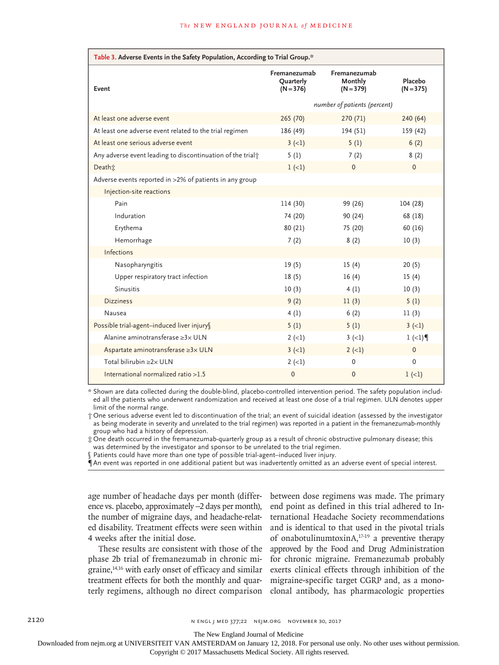| Table 3. Adverse Events in the Safety Population, According to Trial Group.* |                                                 |                                        |                        |  |  |  |
|------------------------------------------------------------------------------|-------------------------------------------------|----------------------------------------|------------------------|--|--|--|
| Event                                                                        | Fremanezumab<br><b>Quarterly</b><br>$(N = 376)$ | Fremanezumab<br>Monthly<br>$(N = 379)$ | Placebo<br>$(N = 375)$ |  |  |  |
|                                                                              | number of patients (percent)                    |                                        |                        |  |  |  |
| At least one adverse event                                                   | 265 (70)                                        | 270(71)                                | 240(64)                |  |  |  |
| At least one adverse event related to the trial regimen                      | 186 (49)                                        | 194 (51)                               | 159 (42)               |  |  |  |
| At least one serious adverse event                                           | $3(-1)$                                         | 5(1)                                   | 6(2)                   |  |  |  |
| Any adverse event leading to discontinuation of the trial <sup>+</sup>       | 5(1)                                            | 7(2)                                   | 8(2)                   |  |  |  |
| Death*                                                                       | $1 (-1)$                                        | $\mathbf{0}$                           | $\mathbf{0}$           |  |  |  |
| Adverse events reported in >2% of patients in any group                      |                                                 |                                        |                        |  |  |  |
| Injection-site reactions                                                     |                                                 |                                        |                        |  |  |  |
| Pain                                                                         | 114 (30)                                        | 99 (26)                                | 104 (28)               |  |  |  |
| Induration                                                                   | 74 (20)                                         | 90(24)                                 | 68 (18)                |  |  |  |
| Erythema                                                                     | 80 (21)                                         | 75 (20)                                | 60(16)                 |  |  |  |
| Hemorrhage                                                                   | 7(2)                                            | 8(2)                                   | 10(3)                  |  |  |  |
| Infections                                                                   |                                                 |                                        |                        |  |  |  |
| Nasopharyngitis                                                              | 19(5)                                           | 15(4)                                  | 20(5)                  |  |  |  |
| Upper respiratory tract infection                                            | 18(5)                                           | 16(4)                                  | 15(4)                  |  |  |  |
| <b>Sinusitis</b>                                                             | 10(3)                                           | 4(1)                                   | 10(3)                  |  |  |  |
| <b>Dizziness</b>                                                             | 9(2)                                            | 11(3)                                  | 5(1)                   |  |  |  |
| Nausea                                                                       | 4(1)                                            | 6(2)                                   | 11(3)                  |  |  |  |
| Possible trial-agent-induced liver injury                                    | 5(1)                                            | 5(1)                                   | $3 (-1)$               |  |  |  |
| Alanine aminotransferase ≥3× ULN                                             | $2 (-1)$                                        | $3(-1)$                                | $1 (-1)$               |  |  |  |
| Aspartate aminotransferase ≥3× ULN                                           | $3 (-1)$                                        | $2 (-1)$                               | $\mathbf 0$            |  |  |  |
| Total bilirubin >2× ULN                                                      | $2 (-1)$                                        | 0                                      | $\Omega$               |  |  |  |
| International normalized ratio >1.5                                          | 0                                               | $\mathbf{0}$                           | $1 (-1)$               |  |  |  |

\* Shown are data collected during the double-blind, placebo-controlled intervention period. The safety population included all the patients who underwent randomization and received at least one dose of a trial regimen. ULN denotes upper limit of the normal range.

† One serious adverse event led to discontinuation of the trial; an event of suicidal ideation (assessed by the investigator as being moderate in severity and unrelated to the trial regimen) was reported in a patient in the fremanezumab-monthly group who had a history of depression.

‡ One death occurred in the fremanezumab-quarterly group as a result of chronic obstructive pulmonary disease; this was determined by the investigator and sponsor to be unrelated to the trial regimen.

§ Patients could have more than one type of possible trial-agent–induced liver injury.

¶ An event was reported in one additional patient but was inadvertently omitted as an adverse event of special interest.

age number of headache days per month (difference vs. placebo, approximately −2 days per month), the number of migraine days, and headache-related disability. Treatment effects were seen within 4 weeks after the initial dose.

These results are consistent with those of the phase 2b trial of fremanezumab in chronic migraine,14,16 with early onset of efficacy and similar treatment effects for both the monthly and quarterly regimens, although no direct comparison

between dose regimens was made. The primary end point as defined in this trial adhered to International Headache Society recommendations and is identical to that used in the pivotal trials of onabotulinumtoxinA, $17-19$  a preventive therapy approved by the Food and Drug Administration for chronic migraine. Fremanezumab probably exerts clinical effects through inhibition of the migraine-specific target CGRP and, as a monoclonal antibody, has pharmacologic properties

The New England Journal of Medicine

Downloaded from nejm.org at UNIVERSITEIT VAN AMSTERDAM on January 12, 2018. For personal use only. No other uses without permission.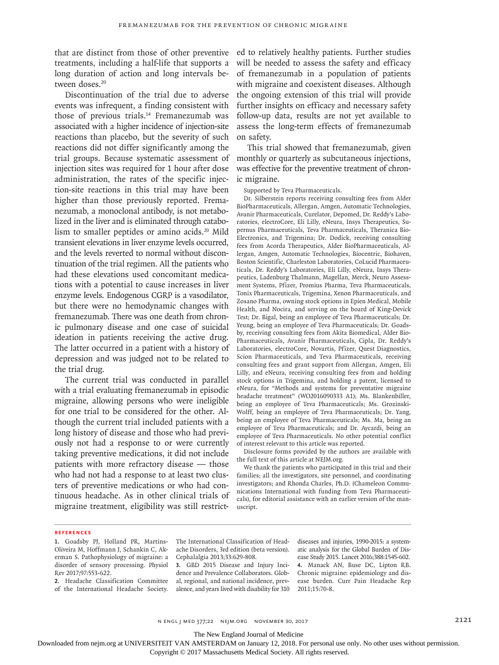that are distinct from those of other preventive treatments, including a half-life that supports a long duration of action and long intervals between doses.<sup>20</sup>

Discontinuation of the trial due to adverse events was infrequent, a finding consistent with those of previous trials.<sup>14</sup> Fremanezumab was associated with a higher incidence of injection-site reactions than placebo, but the severity of such reactions did not differ significantly among the trial groups. Because systematic assessment of injection sites was required for 1 hour after dose administration, the rates of the specific injection-site reactions in this trial may have been higher than those previously reported. Fremanezumab, a monoclonal antibody, is not metabolized in the liver and is eliminated through catabolism to smaller peptides or amino acids.<sup>20</sup> Mild transient elevations in liver enzyme levels occurred, and the levels reverted to normal without discontinuation of the trial regimen. All the patients who had these elevations used concomitant medications with a potential to cause increases in liver enzyme levels. Endogenous CGRP is a vasodilator, but there were no hemodynamic changes with fremanezumab. There was one death from chronic pulmonary disease and one case of suicidal ideation in patients receiving the active drug. The latter occurred in a patient with a history of depression and was judged not to be related to the trial drug.

The current trial was conducted in parallel with a trial evaluating fremanezumab in episodic migraine, allowing persons who were ineligible for one trial to be considered for the other. Although the current trial included patients with a long history of disease and those who had previously not had a response to or were currently taking preventive medications, it did not include patients with more refractory disease — those who had not had a response to at least two clusters of preventive medications or who had continuous headache. As in other clinical trials of migraine treatment, eligibility was still restricted to relatively healthy patients. Further studies will be needed to assess the safety and efficacy of fremanezumab in a population of patients with migraine and coexistent diseases. Although the ongoing extension of this trial will provide further insights on efficacy and necessary safety follow-up data, results are not yet available to assess the long-term effects of fremanezumab on safety.

This trial showed that fremanezumab, given monthly or quarterly as subcutaneous injections, was effective for the preventive treatment of chronic migraine.

Supported by Teva Pharmaceuticals.

Dr. Silberstein reports receiving consulting fees from Alder BioPharmaceuticals, Allergan, Amgen, Automatic Technologies, Avanir Pharmaceuticals, Curelator, Depomed, Dr. Reddy's Laboratories, electroCore, Eli Lilly, eNeura, Insys Therapeutics, Supernus Pharmaceuticals, Teva Pharmaceuticals, Theranica Bio-Electronics, and Trigemina; Dr. Dodick, receiving consulting fees from Acorda Therapeutics, Alder BioPharmaceuticals, Allergan, Amgen, Automatic Technologies, Biocentric, Biohaven, Boston Scientific, Charleston Laboratories, CoLucid Pharmaceuticals, Dr. Reddy's Laboratories, Eli Lilly, eNeura, Insys Therapeutics, Ladenburg Thalmann, Magellan, Merck, Neuro Assessment Systems, Pfizer, Promius Pharma, Teva Pharmaceuticals, Tonix Pharmaceuticals, Trigemina, Xenon Pharmaceuticals, and Zosano Pharma, owning stock options in Epien Medical, Mobile Health, and Nocira, and serving on the board of King-Devick Test; Dr. Bigal, being an employee of Teva Pharmaceuticals; Dr. Yeung, being an employee of Teva Pharmaceuticals; Dr. Goadsby, receiving consulting fees from Akita Biomedical, Alder Bio-Pharmaceuticals, Avanir Pharmaceuticals, Cipla, Dr. Reddy's Laboratories, electroCore, Novartis, Pfizer, Quest Diagnostics, Scion Pharmaceuticals, and Teva Pharmaceuticals, receiving consulting fees and grant support from Allergan, Amgen, Eli Lilly, and eNeura, receiving consulting fees from and holding stock options in Trigemina, and holding a patent, licensed to eNeura, for "Methods and systems for preventative migraine headache treatment" (WO2016090333 A1); Ms. Blankenbiller, being an employee of Teva Pharmaceuticals; Ms. Grozinski-Wolff, being an employee of Teva Pharmaceuticals; Dr. Yang, being an employee of Teva Pharmaceuticals; Ms. Ma, being an employee of Teva Pharmaceuticals; and Dr. Aycardi, being an employee of Teva Pharmaceuticals. No other potential conflict of interest relevant to this article was reported.

Disclosure forms provided by the authors are available with the full text of this article at NEJM.org.

We thank the patients who participated in this trial and their families; all the investigators, site personnel, and coordinating investigators; and Rhonda Charles, Ph.D. (Chameleon Communications International with funding from Teva Pharmaceuticals), for editorial assistance with an earlier version of the manuscript.

#### **References**

**1.** Goadsby PJ, Holland PR, Martins-Oliveira M, Hoffmann J, Schankin C, Akerman S. Pathophysiology of migraine: a disorder of sensory processing. Physiol Rev 2017;97:553-622.

**2.** Headache Classification Committee of the International Headache Society. The International Classification of Headache Disorders, 3rd edition (beta version). Cephalalgia 2013;33:629-808.

**3.** GBD 2015 Disease and Injury Incidence and Prevalence Collaborators. Global, regional, and national incidence, prevalence, and years lived with disability for 310 diseases and injuries, 1990-2015: a systematic analysis for the Global Burden of Disease Study 2015. Lancet 2016;388:1545-602. **4.** Manack AN, Buse DC, Lipton RB. Chronic migraine: epidemiology and disease burden. Curr Pain Headache Rep 2011;15:70-8.

n engl j med 377;22 nejm.org November 30, 2017 2121

The New England Journal of Medicine

Downloaded from nejm.org at UNIVERSITEIT VAN AMSTERDAM on January 12, 2018. For personal use only. No other uses without permission.